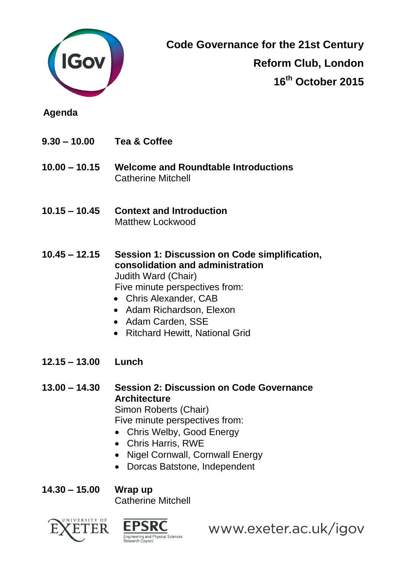

**Code Governance for the 21st Century Reform Club, London 16th October 2015**

**Agenda**

- **9.30 – 10.00 Tea & Coffee**
- **10.00 – 10.15 Welcome and Roundtable Introductions**  Catherine Mitchell
- **10.15 – 10.45 Context and Introduction** Matthew Lockwood
- **10.45 – 12.15 Session 1: Discussion on Code simplification, consolidation and administration**  Judith Ward (Chair) Five minute perspectives from:
	- Chris Alexander, CAB
	- Adam Richardson, Elexon
	- Adam Carden, SSE
	- Ritchard Hewitt, National Grid
- **12.15 – 13.00 Lunch**
- **13.00 – 14.30 Session 2: Discussion on Code Governance Architecture**  Simon Roberts (Chair) Five minute perspectives from:
	- Chris Welby, Good Energy
	- Chris Harris, RWE
	- Nigel Cornwall, Cornwall Energy
	- Dorcas Batstone, Independent

**14.30 – 15.00 Wrap up** Catherine Mitchell





www.exeter.ac.uk/igov